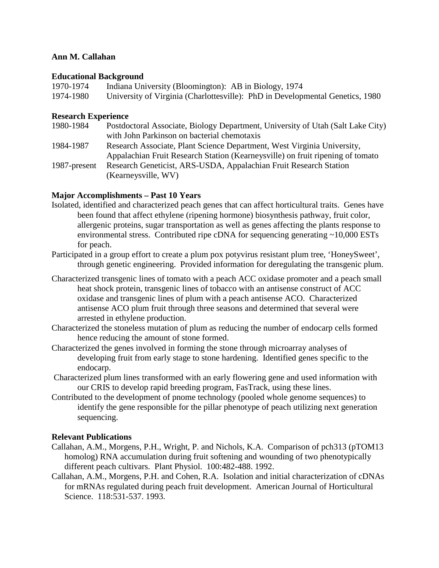## **Ann M. Callahan**

### **Educational Background**

| 1970-1974 | Indiana University (Bloomington): AB in Biology, 1974                         |
|-----------|-------------------------------------------------------------------------------|
| 1974-1980 | University of Virginia (Charlottesville): PhD in Developmental Genetics, 1980 |

## **Research Experience**

| 1980-1984    | Postdoctoral Associate, Biology Department, University of Utah (Salt Lake City) |
|--------------|---------------------------------------------------------------------------------|
|              | with John Parkinson on bacterial chemotaxis                                     |
| 1984-1987    | Research Associate, Plant Science Department, West Virginia University,         |
|              | Appalachian Fruit Research Station (Kearneysville) on fruit ripening of tomato  |
| 1987-present | Research Geneticist, ARS-USDA, Appalachian Fruit Research Station               |
|              | (Kearneysville, WV)                                                             |

# **Major Accomplishments – Past 10 Years**

- Isolated, identified and characterized peach genes that can affect horticultural traits. Genes have been found that affect ethylene (ripening hormone) biosynthesis pathway, fruit color, allergenic proteins, sugar transportation as well as genes affecting the plants response to environmental stress. Contributed ripe cDNA for sequencing generating ~10,000 ESTs for peach.
- Participated in a group effort to create a plum pox potyvirus resistant plum tree, 'HoneySweet', through genetic engineering. Provided information for deregulating the transgenic plum.
- Characterized transgenic lines of tomato with a peach ACC oxidase promoter and a peach small heat shock protein, transgenic lines of tobacco with an antisense construct of ACC oxidase and transgenic lines of plum with a peach antisense ACO. Characterized antisense ACO plum fruit through three seasons and determined that several were arrested in ethylene production.
- Characterized the stoneless mutation of plum as reducing the number of endocarp cells formed hence reducing the amount of stone formed.
- Characterized the genes involved in forming the stone through microarray analyses of developing fruit from early stage to stone hardening. Identified genes specific to the endocarp.
- Characterized plum lines transformed with an early flowering gene and used information with our CRIS to develop rapid breeding program, FasTrack, using these lines.
- Contributed to the development of pnome technology (pooled whole genome sequences) to identify the gene responsible for the pillar phenotype of peach utilizing next generation sequencing.

### **Relevant Publications**

- Callahan, A.M., Morgens, P.H., Wright, P. and Nichols, K.A. Comparison of pch313 (pTOM13 homolog) RNA accumulation during fruit softening and wounding of two phenotypically different peach cultivars. Plant Physiol. 100:482-488. 1992.
- Callahan, A.M., Morgens, P.H. and Cohen, R.A. Isolation and initial characterization of cDNAs for mRNAs regulated during peach fruit development. American Journal of Horticultural Science. 118:531-537. 1993.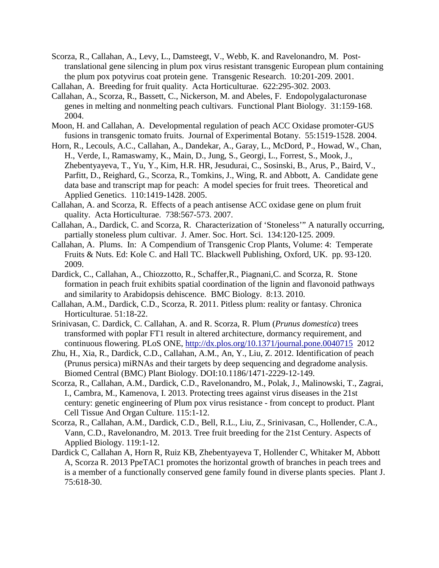- Scorza, R., Callahan, A., Levy, L., Damsteegt, V., Webb, K. and Ravelonandro, M. Posttranslational gene silencing in plum pox virus resistant transgenic European plum containing the plum pox potyvirus coat protein gene. Transgenic Research. 10:201-209. 2001.
- Callahan, A. Breeding for fruit quality. Acta Horticulturae. 622:295-302. 2003.
- Callahan, A., Scorza, R., Bassett, C., Nickerson, M. and Abeles, F. Endopolygalacturonase genes in melting and nonmelting peach cultivars. Functional Plant Biology. 31:159-168. 2004.
- Moon, H. and Callahan, A. Developmental regulation of peach ACC Oxidase promoter-GUS fusions in transgenic tomato fruits. Journal of Experimental Botany. 55:1519-1528. 2004.
- Horn, R., Lecouls, A.C., Callahan, A., Dandekar, A., Garay, L., McDord, P., Howad, W., Chan, H., Verde, I., Ramaswamy, K., Main, D., Jung, S., Georgi, L., Forrest, S., Mook, J., Zhebentyayeva, T., Yu, Y., Kim, H.R. HR, Jesudurai, C., Sosinski, B., Arus, P., Baird, V., Parfitt, D., Reighard, G., Scorza, R., Tomkins, J., Wing, R. and Abbott, A. Candidate gene data base and transcript map for peach: A model species for fruit trees. Theoretical and Applied Genetics. 110:1419-1428. 2005.
- Callahan, A. and Scorza, R. Effects of a peach antisense ACC oxidase gene on plum fruit quality. Acta Horticulturae. 738:567-573. 2007.
- Callahan, A., Dardick, C. and Scorza, R. Characterization of 'Stoneless'" A naturally occurring, partially stoneless plum cultivar. J. Amer. Soc. Hort. Sci. 134:120-125. 2009.
- Callahan, A. Plums. In: A Compendium of Transgenic Crop Plants, Volume: 4: Temperate Fruits & Nuts. Ed: Kole C. and Hall TC. Blackwell Publishing, Oxford, UK. pp. 93-120. 2009.
- Dardick, C., Callahan, A., Chiozzotto, R., Schaffer,R., Piagnani,C. and Scorza, R. Stone formation in peach fruit exhibits spatial coordination of the lignin and flavonoid pathways and similarity to Arabidopsis dehiscence. BMC Biology. 8:13. 2010.
- Callahan, A.M., Dardick, C.D., Scorza, R. 2011. Pitless plum: reality or fantasy. Chronica Horticulturae. 51:18-22.
- Srinivasan, C. Dardick, C. Callahan, A. and R. Scorza, R. Plum (*Prunus domestica*) trees transformed with poplar FT1 result in altered architecture, dormancy requirement, and continuous flowering. PLoS ONE,<http://dx.plos.org/10.1371/journal.pone.0040715>2012
- Zhu, H., Xia, R., Dardick, C.D., Callahan, A.M., An, Y., Liu, Z. 2012. Identification of peach (Prunus persica) miRNAs and their targets by deep sequencing and degradome analysis. Biomed Central (BMC) Plant Biology. DOI:10.1186/1471-2229-12-149.
- Scorza, R., Callahan, A.M., Dardick, C.D., Ravelonandro, M., Polak, J., Malinowski, T., Zagrai, I., Cambra, M., Kamenova, I. 2013. Protecting trees against virus diseases in the 21st century: genetic engineering of Plum pox virus resistance - from concept to product. Plant Cell Tissue And Organ Culture. 115:1-12.
- Scorza, R., Callahan, A.M., Dardick, C.D., Bell, R.L., Liu, Z., Srinivasan, C., Hollender, C.A., Vann, C.D., Ravelonandro, M. 2013. Tree fruit breeding for the 21st Century. Aspects of Applied Biology. 119:1-12.
- Dardick C, Callahan A, Horn R, Ruiz KB, Zhebentyayeva T, Hollender C, Whitaker M, Abbott A, Scorza R. 2013 PpeTAC1 promotes the horizontal growth of branches in peach trees and is a member of a functionally conserved gene family found in diverse plants species.Plant J. 75:618-30.